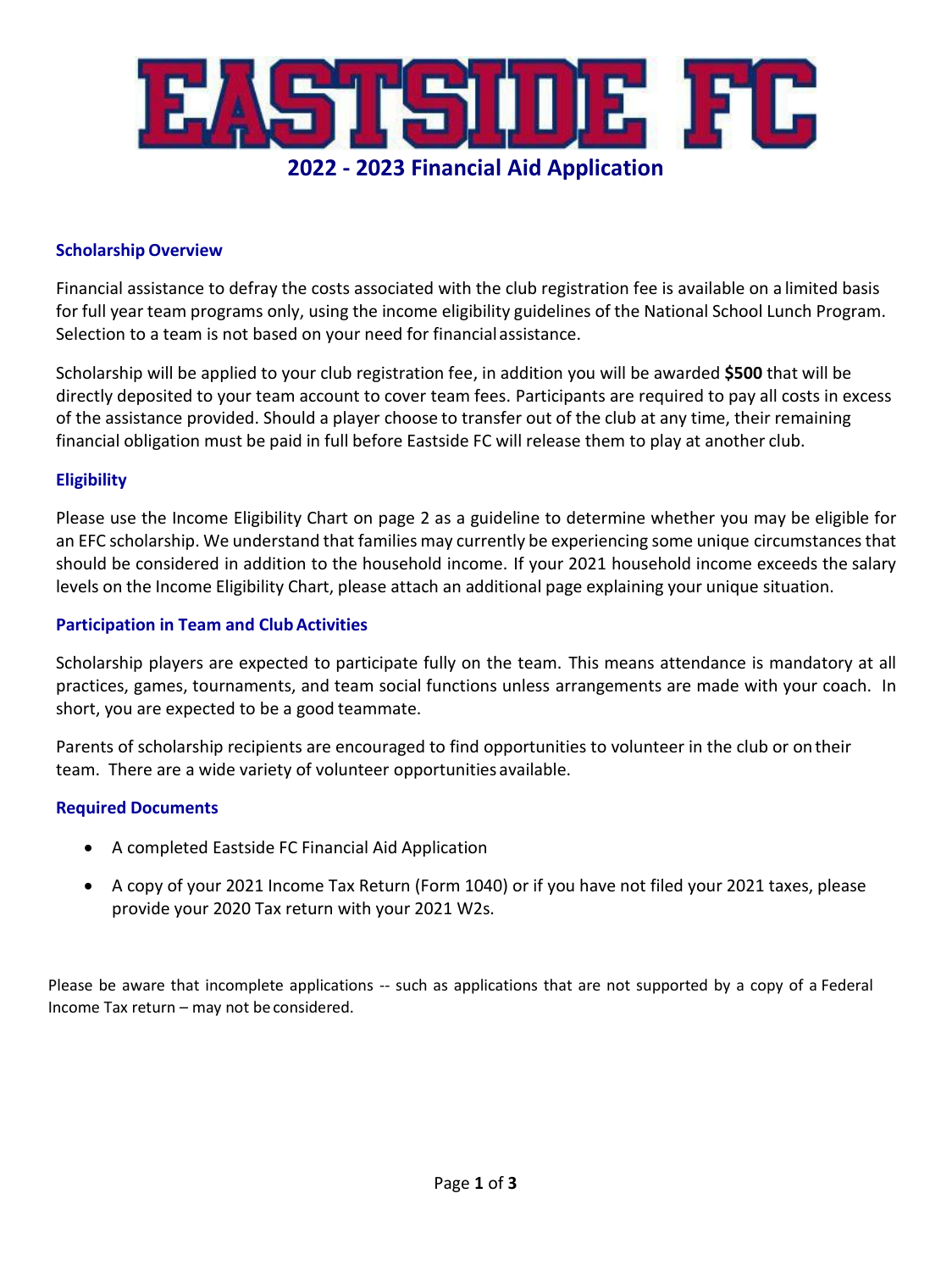

# **Scholarship Overview**

Financial assistance to defray the costs associated with the club registration fee is available on a limited basis for full year team programs only, using the income eligibility guidelines of the National School Lunch Program. Selection to a team is not based on your need for financial assistance.

Scholarship will be applied to your club registration fee, in addition you will be awarded **\$500** that will be directly deposited to your team account to cover team fees. Participants are required to pay all costs in excess of the assistance provided. Should a player choose to transfer out of the club at any time, their remaining financial obligation must be paid in full before Eastside FC will release them to play at another club.

#### **Eligibility**

Please use the Income Eligibility Chart on page 2 as a guideline to determine whether you may be eligible for an EFC scholarship. We understand that families may currently be experiencing some unique circumstances that should be considered in addition to the household income. If your 2021 household income exceeds the salary levels on the Income Eligibility Chart, please attach an additional page explaining your unique situation.

#### **Participation in Team and Club Activities**

Scholarship players are expected to participate fully on the team. This means attendance is mandatory at all practices, games, tournaments, and team social functions unless arrangements are made with your coach. In short, you are expected to be a good teammate.

Parents of scholarship recipients are encouraged to find opportunities to volunteer in the club or on their team. There are a wide variety of volunteer opportunities available.

# **Required Documents**

- A completed Eastside FC Financial Aid Application
- A copy of your 2021 Income Tax Return (Form 1040) or if you have not filed your 2021 taxes, please provide your 2020 Tax return with your 2021 W2s.

Please be aware that incomplete applications -- such as applications that are not supported by a copy of a Federal Income Tax return – may not be considered.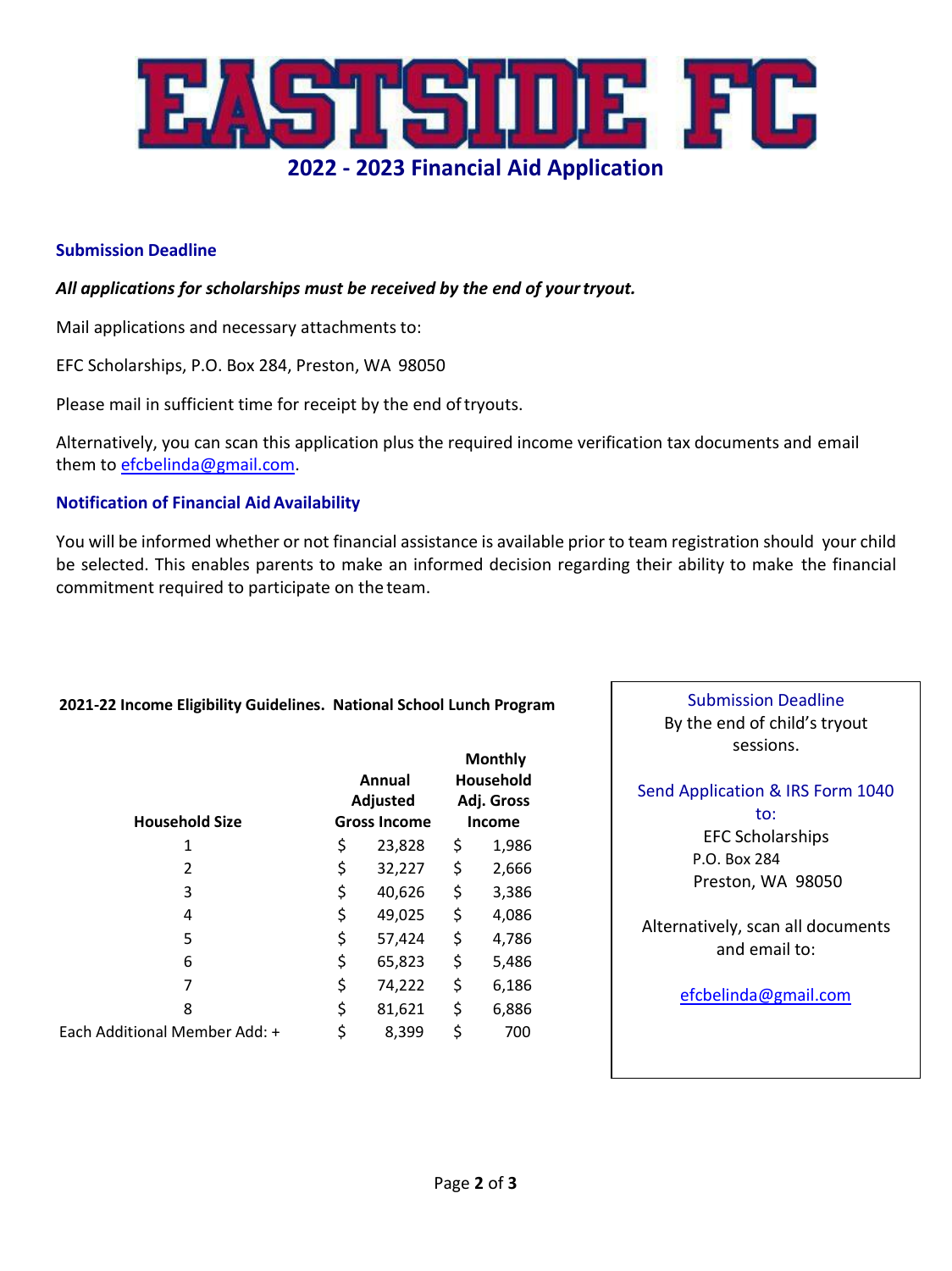

# **Submission Deadline**

# *All applications for scholarships must be received by the end of yourtryout.*

Mail applications and necessary attachments to:

EFC Scholarships, P.O. Box 284, Preston, WA 98050

Please mail in sufficient time for receipt by the end of tryouts.

Alternatively, you can scan this application plus the required income verification tax documents and email them t[o efcbelinda@gmail.com.](mailto:efcbelinda@gmail.com)

#### **Notification of Financial AidAvailability**

You will be informed whether or not financial assistance is available prior to team registration should your child be selected. This enables parents to make an informed decision regarding their ability to make the financial commitment required to participate on the team.

#### **2021-22 Income Eligibility Guidelines. National School Lunch Program**

| <b>Household Size</b>         | Annual<br><b>Adjusted</b><br><b>Gross Income</b> |        | <b>Monthly</b><br>Household<br>Adj. Gross<br><b>Income</b> |       |
|-------------------------------|--------------------------------------------------|--------|------------------------------------------------------------|-------|
| 1                             | \$                                               | 23,828 | \$                                                         | 1,986 |
| 2                             | \$                                               | 32,227 | \$                                                         | 2,666 |
| 3                             | \$                                               | 40,626 | \$                                                         | 3,386 |
| 4                             | \$                                               | 49,025 | \$                                                         | 4,086 |
| 5                             | \$                                               | 57,424 | \$                                                         | 4,786 |
| 6                             | \$                                               | 65,823 | \$                                                         | 5,486 |
| 7                             | \$                                               | 74,222 | \$                                                         | 6,186 |
| 8                             | \$                                               | 81,621 | \$                                                         | 6,886 |
| Each Additional Member Add: + | \$                                               | 8,399  | \$                                                         | 700   |

Submission Deadline By the end of child's tryout sessions.

# Send Application & IRS Form 1040

to: EFC Scholarships P.O. Box 284 Preston, WA 98050

Alternatively, scan all documents and email to:

[efcbelinda@gmail.com](mailto:efcbelinda@gmail.com)